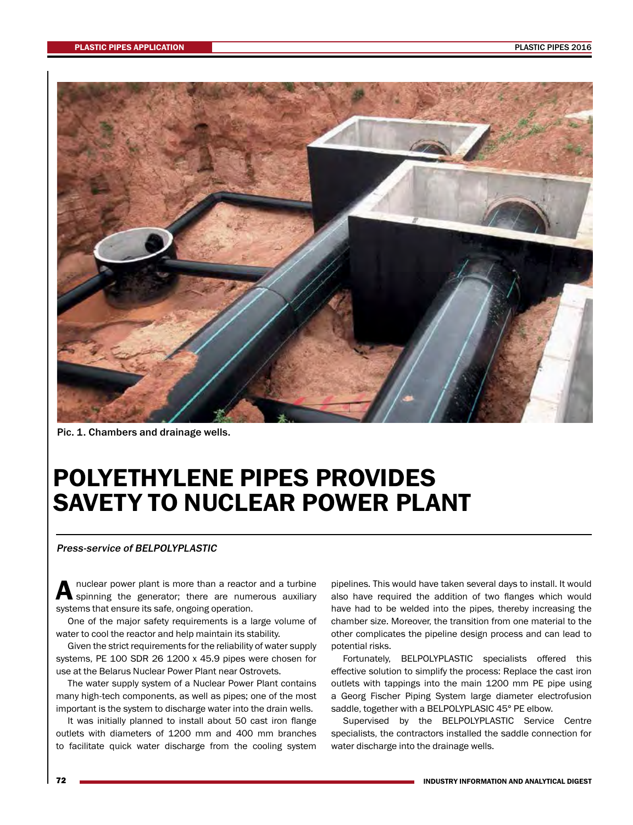

Pic. 1. Chambers and drainage wells.

## POLYETHYLENE PIPES PROVIDES SAVETY TO NUCLEAR POWER PLANT

## Press-service of BELPOLYPLASTIC

A nuclear power plant is more than a reactor and a turbine<br>
Spinning the generator; there are numerous auxiliary systems that ensure its safe, ongoing operation.

One of the major safety requirements is a large volume of water to cool the reactor and help maintain its stability.

Given the strict requirements for the reliability of water supply systems, PE 100 SDR 26 1200 x 45.9 pipes were chosen for use at the Belarus Nuclear Power Plant near Ostrovets.

The water supply system of a Nuclear Power Plant contains many high-tech components, as well as pipes; one of the most important is the system to discharge water into the drain wells.

It was initially planned to install about 50 cast iron flange outlets with diameters of 1200 mm and 400 mm branches to facilitate quick water discharge from the cooling system

pipelines. This would have taken several days to install. It would also have required the addition of two flanges which would have had to be welded into the pipes, thereby increasing the chamber size. Moreover, the transition from one material to the other complicates the pipeline design process and can lead to potential risks.

Fortunately, BELPOLYPLASTIC specialists offered this effective solution to simplify the process: Replace the cast iron outlets with tappings into the main 1200 mm PE pipe using a Georg Fischer Piping System large diameter electrofusion saddle, together with a BELPOLYPLASIC 45° PE elbow.

Supervised by the BELPOLYPLASTIC Service Centre specialists, the contractors installed the saddle connection for water discharge into the drainage wells.